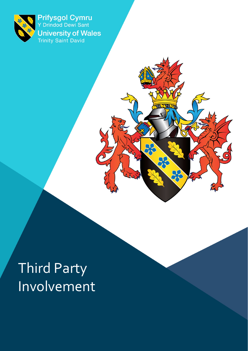

Prifysgol Cymru<br>Y Drindod Dewi Sant **University of Wales**<br>Trinity Saint David

 $\alpha$ 

 $\sum_{i=1}^{n}$ 

# Third Party Involvement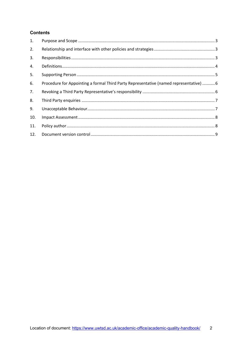## **Contents**

| 1.  |                                                                                        |  |
|-----|----------------------------------------------------------------------------------------|--|
| 2.  |                                                                                        |  |
| 3.  |                                                                                        |  |
| 4.  |                                                                                        |  |
| 5.  |                                                                                        |  |
| 6.  | Procedure for Appointing a formal Third Party Representative (named representative)  6 |  |
| 7.  |                                                                                        |  |
| 8.  |                                                                                        |  |
| 9.  |                                                                                        |  |
| 10. |                                                                                        |  |
| 11. |                                                                                        |  |
| 12. |                                                                                        |  |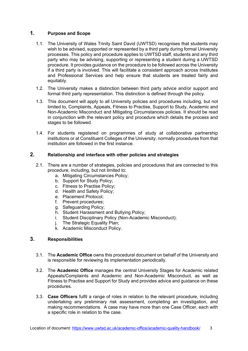## <span id="page-2-0"></span>**1. Purpose and Scope**

- 1.1. The University of Wales Trinity Saint David (UWTSD) recognises that students may wish to be advised, supported or represented by a third party during formal University processes. This policy and procedure applies to UWTSD staff, students and any third party who may be advising, supporting or representing a student during a UWTSD procedure. It provides guidance on the procedure to be followed across the University if a third party is involved. This will facilitate a consistent approach across Institutes and Professional Services and help ensure that students are treated fairly and equitably.
- 1.2. The University makes a distinction between third party advice and/or support and formal third party representation. This distinction is defined through the policy.
- 1.3. This document will apply to all University policies and procedures including, but not limited to, Complaints, Appeals, Fitness to Practise, Support to Study, Academic and Non-Academic Misconduct and Mitigating Circumstances policies. It should be read in conjunction with the relevant policy and procedure which details the process and stages to be followed.
- 1.4. For students registered on programmes of study at collaborative partnership institutions or at Constituent Colleges of the University, normally procedures from that institution are followed in the first instance.

# <span id="page-2-1"></span>**2. Relationship and interface with other policies and strategies**

- 2.1. There are a number of strategies, policies and procedures that are connected to this procedure, including, but not limited to:
	- a. Mitigating Circumstances Policy;
	- b. Support for Study Policy;
	- c. Fitness to Practise Policy;
	- d. Health and Safety Policy;
	- e. Placement Protocol;
	- f. Prevent procedures;
	- g. Safeguarding Policy;
	- h. Student Harassment and Bullying Policy;
	- i. Student Disciplinary Policy (Non-Academic Misconduct);
	- j. The Strategic Equality Plan;
	- k. Academic Misconduct Policy.

## <span id="page-2-2"></span>**3. Responsibilities**

- 3.1. The **Academic Office** owns this procedural document on behalf of the University and is responsible for reviewing its implementation periodically.
- 3.2. The **Academic Office** manages the central University Stages for Academic related Appeals/Complaints and Academic and Non-Academic Misconduct, as well as Fitness to Practise and Support for Study and provides advice and guidance on these procedures.
- 3.3. **Case Officers** fulfil a range of roles in relation to the relevant procedure, including undertaking any preliminary risk assessment, completing an investigation, and making recommendations. A case may have more than one Case Officer, each with a specific role in relation to the case.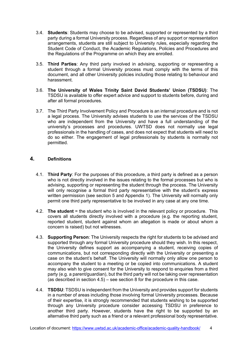- 3.4. **Students**: Students may choose to be advised, supported or represented by a third party during a formal University process. Regardless of any support or representation arrangements, students are still subject to University rules, especially regarding the Student Code of Conduct, the Academic Regulations, Policies and Procedures and the Regulations of the Programme on which they are enrolled.
- 3.5. **Third Parties**: Any third party involved in advising, supporting or representing a student through a formal University process must comply with the terms of this document, and all other University policies including those relating to behaviour and harassment.
- 3.6. **The University of Wales Trinity Saint David Students' Union (TSDSU)**: The TSDSU is available to offer expert advice and support to students before, during and after all formal procedures.
- 3.7. The Third Party Involvement Policy and Procedure is an internal procedure and is not a legal process. The University advises students to use the services of the TSDSU who are independent from the University and have a full understanding of the university's processes and procedures. UWTSD does not normally use legal professionals in the handling of cases, and does not expect that students will need to do so either. The engagement of legal professionals by students is normally not permitted.

## <span id="page-3-0"></span>**4. Definitions**

- 4.1. **Third Party**: For the purposes of this procedure, a third party is defined as a person who is not directly involved in the issues relating to the formal processes but who is advising, supporting or representing the student through the process. The University will only recognise a formal third party representative with the student's express written permission (see section 5 and Appendix 1). The University will normally only permit one third party representative to be involved in any case at any one time.
- 4.2. **The student** = the student who is involved in the relevant policy or procedure. This covers all students directly involved with a procedure (e.g. the reporting student, reported student, student against whom an allegation is made or about whom a concern is raised) but not witnesses.
- 4.3. **Supporting Person**: The University respects the right for students to be advised and supported through any formal University procedure should they wish. In this respect, the University defines support as accompanying a student, receiving copies of communications, but not corresponding directly with the University or presenting a case on the student's behalf. The University will normally only allow one person to accompany the student to a meeting or be copied into communications. A student may also wish to give consent for the University to respond to enquiries from a third party (e.g. a parent/guardian), but the third party will not be taking over representation (as described in section  $(4.5)$  – see section 8 for the procedure in this case.
- 4.4. **TSDSU**: TSDSU is independent from the University and provides support for students in a number of areas including those involving formal University processes. Because of their expertise, it is strongly recommended that students wishing to be supported through any University procedure consider accessing TSDSU in preference to another third party. However, students have the right to be supported by an alternative third party such as a friend or a relevant professional body representative.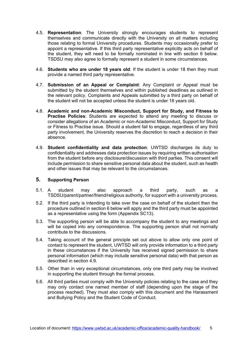- 4.5. **Representation**: The University strongly encourages students to represent themselves and communicate directly with the University on all matters including those relating to formal University procedures. Students may occasionally prefer to appoint a representative. If this third party representative explicitly acts on behalf of the student, they will need to be formally nominated in line with section 6 below. TSDSU may also agree to formally represent a student in some circumstances.
- 4.6. **Students who are under 18 years old**: If the student is under 18 then they must provide a named third party representative.
- 4.7. **Submission of an Appeal or Complaint**: Any Complaint or Appeal must be submitted by the student themselves and within published deadlines as outlined in the relevant policy. Complaints and Appeals submitted by a third party on behalf of the student will not be accepted unless the student is under 18 years old.
- 4.8. **Academic and non-Academic Misconduct, Support for Study, and Fitness to Practise Policies**: Students are expected to attend any meeting to discuss or consider allegations of an Academic or non-Academic Misconduct, Support for Study or Fitness to Practise issue. Should a student fail to engage, regardless of any third party involvement, the University reserves the discretion to reach a decision in their absence.
- 4.9. **Student confidentiality and data protection**: UWTSD discharges its duty to confidentiality and addresses data protection issues by requiring written authorisation from the student before any disclosure/discussion with third parties. This consent will include permission to share sensitive personal data about the student, such as health and other issues that may be relevant to the circumstances.

#### <span id="page-4-0"></span>**5. Supporting Person**

- 5.1. A student may also approach a third party, such as a TSDSU/parent/partner/friend/religious authority, for support with a university process.
- 5.2. If the third party is intending to take over the case on behalf of the student then the procedure outlined in section 6 below will apply and the third party must be appointed as a representative using the form (Appendix SC13).
- 5.3. The supporting person will be able to accompany the student to any meetings and will be copied into any correspondence. The supporting person shall not normally contribute to the discussions.
- 5.4. Taking account of the general principle set out above to allow only one point of contact to represent the student, UWTSD will only provide information to a third party in these circumstances if the University has received signed permission to share personal information (which may include sensitive personal data) with that person as described in section 4.9.
- 5.5. Other than in very exceptional circumstances, only one third party may be involved in supporting the student through the formal process.
- 5.6. All third parties must comply with the University policies relating to the case and they may only contact one named member of staff (depending upon the stage of the process reached). They must also comply with this document and the Harassment and Bullying Policy and the Student Code of Conduct.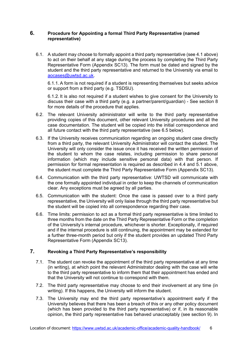#### <span id="page-5-0"></span>**6. Procedure for Appointing a formal Third Party Representative (named representative)**

6.1. A student may choose to formally appoint a third party representative (see 4.1 above) to act on their behalf at any stage during the process by completing the Third Party Representative Form (Appendix SC13). The form must be dated and signed by the student and the third party representative and returned to the University via email to [aocases@uwtsd.ac.uk.](mailto:aocases@uwtsd.ac.uk)

6.1.1. A form is not required if a student is representing themselves but seeks advice or support from a third party (e.g. TSDSU).

6.1.2. It is also not required if a student wishes to give consent for the University to discuss their case with a third party (e.g. a partner/parent/guardian) - See section 8 for more details of the procedure that applies.

- 6.2. The relevant University administrator will write to the third party representative providing copies of this document, other relevant University procedures and all the case documentation. The student will be copied into the initial correspondence and all future contact with the third party representative (see 6.5 below).
- 6.3. If the University receives communication regarding an ongoing student case directly from a third party, the relevant University Administrator will contact the student. The University will only consider the issue once it has received the written permission of the student to whom the case relates, including permission to share personal information (which may include sensitive personal data) with that person. If permission for formal representation is required as described in 4.4 and 5.1 above, the student must complete the Third Party Representative Form (Appendix SC13).
- 6.4. Communication with the third party representative: UWTSD will communicate with the one formally appointed individual in order to keep the channels of communication clear. Any exceptions must be agreed by all parties.
- 6.5. Communication with the student: Once the case is passed over to a third party representative, the University will only liaise through the third party representative but the student will be copied into all correspondence regarding their case.
- 6.6. Time limits: permission to act as a formal third party representative is time limited to three months from the date on the Third Party Representative Form or the completion of the University's internal procedure, whichever is shorter. Exceptionally, if required and if the internal procedure is still continuing, the appointment may be extended for a further three-month period but only if the student provides an updated Third Party Representative Form (Appendix SC13).

## <span id="page-5-1"></span>**7. Revoking a Third Party Representative's responsibility**

- 7.1. The student can revoke the appointment of the third party representative at any time (in writing), at which point the relevant Administrator dealing with the case will write to the third party representative to inform them that their appointment has ended and that the University will not continue to correspond with them.
- 7.2. The third party representative may choose to end their involvement at any time (in writing). If this happens, the University will inform the student.
- 7.3. The University may end the third party representative's appointment early if the University believes that there has been a breach of this or any other policy document (which has been provided to the third party representative) or if, in its reasonable opinion, the third party representative has behaved unacceptably (see section 9). In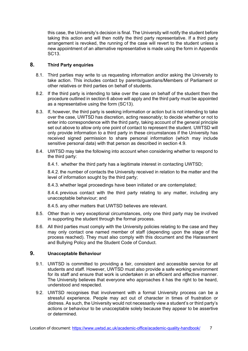this case, the University's decision is final. The University will notify the student before taking this action and will then notify the third party representative. If a third party arrangement is revoked, the running of the case will revert to the student unless a new appointment of an alternative representative is made using the form in Appendix SC13.

## <span id="page-6-0"></span>**8. Third Party enquiries**

- 8.1. Third parties may write to us requesting information and/or asking the University to take action. This includes contact by parents/guardians/Members of Parliament or other relatives or third parties on behalf of students.
- 8.2. If the third party is intending to take over the case on behalf of the student then the procedure outlined in section 6 above will apply and the third party must be appointed as a representative using the form (SC13).
- 8.3. If, however, the third party is seeking information or action but is not intending to take over the case, UWTSD has discretion, acting reasonably; to decide whether or not to enter into correspondence with the third party, taking account of the general principle set out above to allow only one point of contact to represent the student. UWTSD will only provide information to a third party in these circumstances if the University has received signed permission to share personal information (which may include sensitive personal data) with that person as described in section 4.9.
- 8.4. UWTSD may take the following into account when considering whether to respond to the third party:

8.4.1. whether the third party has a legitimate interest in contacting UWTSD;

8.4.2. the number of contacts the University received in relation to the matter and the level of information sought by the third party;

8.4.3. whether legal proceedings have been initiated or are contemplated;

8.4.4. previous contact with the third party relating to any matter, including any unacceptable behaviour; and

8.4.5. any other matters that UWTSD believes are relevant.

- 8.5. Other than in very exceptional circumstances, only one third party may be involved in supporting the student through the formal process.
- 8.6. All third parties must comply with the University policies relating to the case and they may only contact one named member of staff (depending upon the stage of the process reached). They must also comply with this document and the Harassment and Bullying Policy and the Student Code of Conduct.

#### <span id="page-6-1"></span>**9. Unacceptable Behaviour**

- 9.1. UWTSD is committed to providing a fair, consistent and accessible service for all students and staff. However, UWTSD must also provide a safe working environment for its staff and ensure that work is undertaken in an efficient and effective manner. The University believes that everyone who approaches it has the right to be heard, understood and respected.
- 9.2. UWTSD recognises that involvement with a formal University process can be a stressful experience. People may act out of character in times of frustration or distress. As such, the University would not necessarily view a student's or third party's actions or behaviour to be unacceptable solely because they appear to be assertive or determined.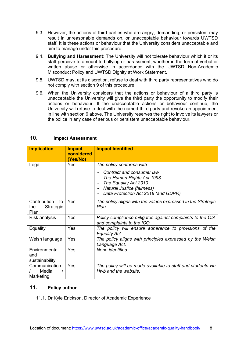- 9.3. However, the actions of third parties who are angry, demanding, or persistent may result in unreasonable demands on, or unacceptable behaviour towards UWTSD staff. It is these actions or behaviour that the University considers unacceptable and aim to manage under this procedure.
- 9.4. **Bullying and Harassment**: The University will not tolerate behaviour which it or its staff perceive to amount to bullying or harassment, whether in the form of verbal or written abuse or otherwise in accordance with the UWTSD Non-Academic Misconduct Policy and UWTSD Dignity at Work Statement.
- 9.5. UWTSD may, at its discretion, refuse to deal with third party representatives who do not comply with section 9 of this procedure.
- 9.6. When the University considers that the actions or behaviour of a third party is unacceptable the University will give the third party the opportunity to modify their actions or behaviour. If the unacceptable actions or behaviour continue, the University will refuse to deal with the named third party and revoke an appointment in line with section 6 above. The University reserves the right to involve its lawyers or the police in any case of serious or persistent unacceptable behaviour.

| <b>Implication</b>                             | <b>Impact</b><br>considered<br>(Yes/No) | <b>Impact Identified</b>                                                                                                                                                         |
|------------------------------------------------|-----------------------------------------|----------------------------------------------------------------------------------------------------------------------------------------------------------------------------------|
| Legal                                          | Yes                                     | The policy conforms with:                                                                                                                                                        |
|                                                |                                         | Contract and consumer law<br>The Human Rights Act 1998<br>The Equality Act 2010<br>Natural Justice (fairness)<br>$\overline{\phantom{a}}$<br>Data Protection Act 2018 (and GDPR) |
| Contribution<br>to<br>Strategic<br>the<br>Plan | Yes                                     | The policy aligns with the values expressed in the Strategic<br>Plan.                                                                                                            |
| Risk analysis                                  | Yes                                     | Policy compliance mitigates against complaints to the OIA<br>and complaints to the ICO.                                                                                          |
| Equality                                       | Yes                                     | The policy will ensure adherence to provisions of the<br><b>Equality Act.</b>                                                                                                    |
| Welsh language                                 | Yes                                     | The policy aligns with principles expressed by the Welsh<br>Language Act.                                                                                                        |
| Environmental<br>and<br>sustainability         | Yes                                     | None identified.                                                                                                                                                                 |
| Communication<br>Media<br>Marketing            | Yes                                     | The policy will be made available to staff and students via<br>Hwb and the website.                                                                                              |

#### <span id="page-7-0"></span>**10. Impact Assessment**

## <span id="page-7-1"></span>**11. Policy author**

11.1. Dr Kyle Erickson, Director of Academic Experience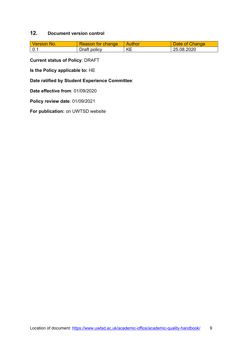# <span id="page-8-0"></span>**12. Document version control**

| l Version No.    | Reason for change | Author | Date of Change |
|------------------|-------------------|--------|----------------|
| $\overline{0.1}$ | Draft policy      | KE     | 25.08.2020     |

**Current status of Policy**: DRAFT

**Is the Policy applicable to:** HE

**Date ratified by Student Experience Committee**:

**Date effective from**: 01/09/2020

**Policy review date**: 01/09/2021

**For publication:** on UWTSD website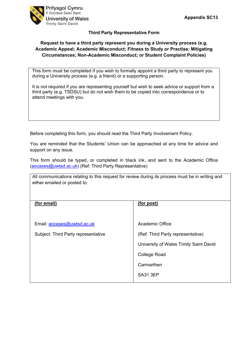



#### **Third Party Representative Form**

#### **Request to have a third party represent you during a University process (e.g. Academic Appeal; Academic Misconduct; Fitness to Study or Practise; Mitigating Circumstances; Non-Academic Misconduct; or Student Complaint Policies)**

This form must be completed if you wish to formally appoint a third party to represent you during a University process (e.g. a friend) or a supporting person.

It is not required if you are representing yourself but wish to seek advice or support from a third party (e.g. TSDSU) but do not wish them to be copied into correspondence or to attend meetings with you.

Before completing this form, you should read the Third Party Involvement Policy.

You are reminded that the Students' Union can be approached at any time for advice and support on any issue.

This form should be typed, or completed in black ink, and sent to the Academic Office [\(aocases@uwtsd.ac.uk\)](mailto:aocases@uwtsd.ac.uk) (Ref: Third Party Representative)

All communications relating to this request for review during its process must be in writing and either emailed or posted to:

| (for email)                         | (for post)                              |
|-------------------------------------|-----------------------------------------|
| Email: aocases@uwtsd.ac.uk          | Academic Office                         |
| Subject: Third Party representative | (Ref: Third Party representative)       |
|                                     | University of Wales Trinity Saint David |
|                                     | <b>College Road</b>                     |
|                                     | Carmarthen                              |
|                                     | <b>SA31 3EP</b>                         |